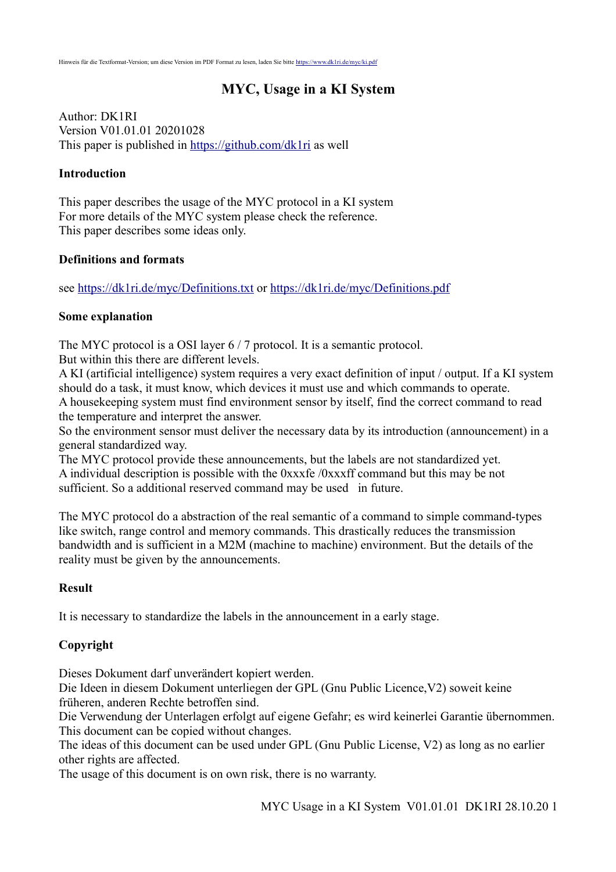# **MYC, Usage in a KI System**

Author: DK1RI Version V01.01.01 20201028 This paper is published in<https://github.com/dk1ri> as well

### **Introduction**

This paper describes the usage of the MYC protocol in a KI system For more details of the MYC system please check the reference. This paper describes some ideas only.

### **Definitions and formats**

see<https://dk1ri.de/myc/Definitions.txt>or<https://dk1ri.de/myc/Definitions.pdf>

#### **Some explanation**

The MYC protocol is a OSI layer 6 / 7 protocol. It is a semantic protocol. But within this there are different levels.

A KI (artificial intelligence) system requires a very exact definition of input / output. If a KI system should do a task, it must know, which devices it must use and which commands to operate. A housekeeping system must find environment sensor by itself, find the correct command to read the temperature and interpret the answer.

So the environment sensor must deliver the necessary data by its introduction (announcement) in a general standardized way.

The MYC protocol provide these announcements, but the labels are not standardized yet. A individual description is possible with the 0xxxfe /0xxxff command but this may be not sufficient. So a additional reserved command may be used in future.

The MYC protocol do a abstraction of the real semantic of a command to simple command-types like switch, range control and memory commands. This drastically reduces the transmission bandwidth and is sufficient in a M2M (machine to machine) environment. But the details of the reality must be given by the announcements.

### **Result**

It is necessary to standardize the labels in the announcement in a early stage.

# **Copyright**

Dieses Dokument darf unverändert kopiert werden.

Die Ideen in diesem Dokument unterliegen der GPL (Gnu Public Licence,V2) soweit keine früheren, anderen Rechte betroffen sind.

Die Verwendung der Unterlagen erfolgt auf eigene Gefahr; es wird keinerlei Garantie übernommen. This document can be copied without changes.

The ideas of this document can be used under GPL (Gnu Public License, V2) as long as no earlier other rights are affected.

The usage of this document is on own risk, there is no warranty.